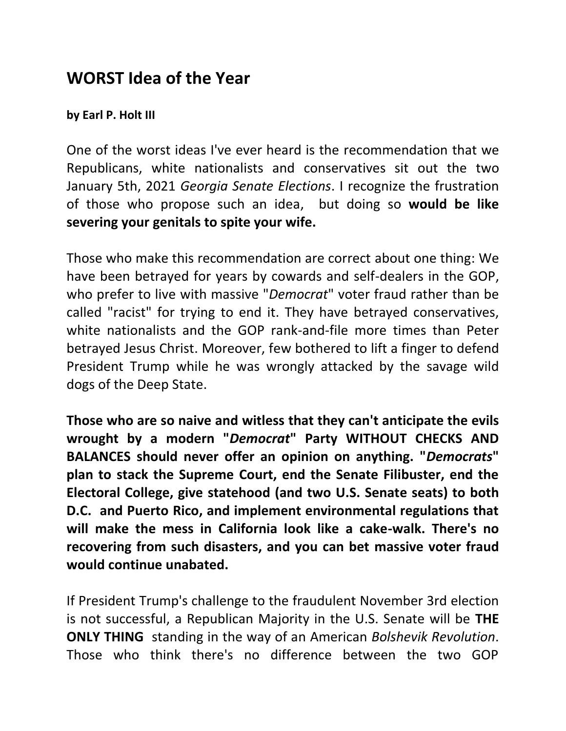## **WORST Idea of the Year**

## **by Earl P. Holt III**

One of the worst ideas I've ever heard is the recommendation that we Republicans, white nationalists and conservatives sit out the two January 5th, 2021 *Georgia Senate Elections*. I recognize the frustration of those who propose such an idea, but doing so **would be like severing your genitals to spite your wife.** 

Those who make this recommendation are correct about one thing: We have been betrayed for years by cowards and self-dealers in the GOP, who prefer to live with massive "*Democrat*" voter fraud rather than be called "racist" for trying to end it. They have betrayed conservatives, white nationalists and the GOP rank-and-file more times than Peter betrayed Jesus Christ. Moreover, few bothered to lift a finger to defend President Trump while he was wrongly attacked by the savage wild dogs of the Deep State.

**Those who are so naive and witless that they can't anticipate the evils wrought by a modern "***Democrat***" Party WITHOUT CHECKS AND BALANCES should never offer an opinion on anything. "***Democrats***" plan to stack the Supreme Court, end the Senate Filibuster, end the Electoral College, give statehood (and two U.S. Senate seats) to both D.C. and Puerto Rico, and implement environmental regulations that will make the mess in California look like a cake-walk. There's no recovering from such disasters, and you can bet massive voter fraud would continue unabated.** 

If President Trump's challenge to the fraudulent November 3rd election is not successful, a Republican Majority in the U.S. Senate will be **THE ONLY THING** standing in the way of an American *Bolshevik Revolution*. Those who think there's no difference between the two GOP